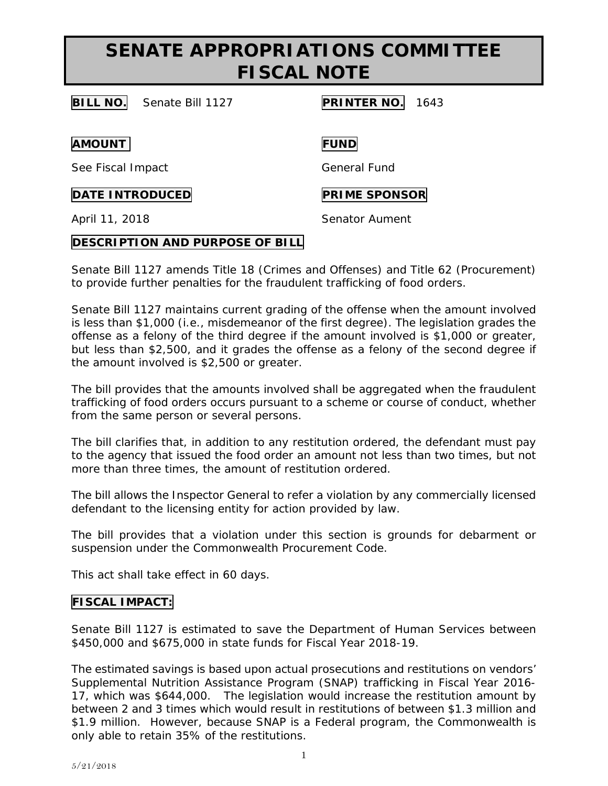## **SENATE APPROPRIATIONS COMMITTEE FISCAL NOTE**

**BILL NO.** Senate Bill 1127 **PRINTER NO.** 1643

**AMOUNT FUND**

See Fiscal Impact General Fund

**DATE INTRODUCED PRIME SPONSOR** 

April 11, 2018 **Senator Aument** 

## **DESCRIPTION AND PURPOSE OF BILL**

Senate Bill 1127 amends Title 18 (Crimes and Offenses) and Title 62 (Procurement) to provide further penalties for the fraudulent trafficking of food orders.

Senate Bill 1127 maintains current grading of the offense when the amount involved is less than \$1,000 (i.e., misdemeanor of the first degree). The legislation grades the offense as a felony of the third degree if the amount involved is \$1,000 or greater, but less than \$2,500, and it grades the offense as a felony of the second degree if the amount involved is \$2,500 or greater.

The bill provides that the amounts involved shall be aggregated when the fraudulent trafficking of food orders occurs pursuant to a scheme or course of conduct, whether from the same person or several persons.

The bill clarifies that, in addition to any restitution ordered, the defendant must pay to the agency that issued the food order an amount not less than two times, but not more than three times, the amount of restitution ordered.

The bill allows the Inspector General to refer a violation by any commercially licensed defendant to the licensing entity for action provided by law.

The bill provides that a violation under this section is grounds for debarment or suspension under the Commonwealth Procurement Code.

This act shall take effect in 60 days.

## **FISCAL IMPACT:**

Senate Bill 1127 is estimated to save the Department of Human Services between \$450,000 and \$675,000 in state funds for Fiscal Year 2018-19.

The estimated savings is based upon actual prosecutions and restitutions on vendors' Supplemental Nutrition Assistance Program (SNAP) trafficking in Fiscal Year 2016- 17, which was \$644,000. The legislation would increase the restitution amount by between 2 and 3 times which would result in restitutions of between \$1.3 million and \$1.9 million. However, because SNAP is a Federal program, the Commonwealth is only able to retain 35% of the restitutions.